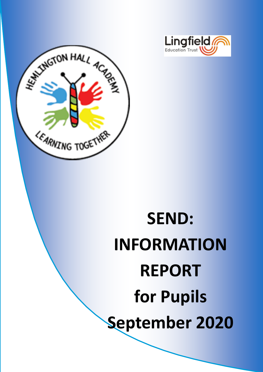



# **SEND: INFORMATION REPORT for Pupils September 2020**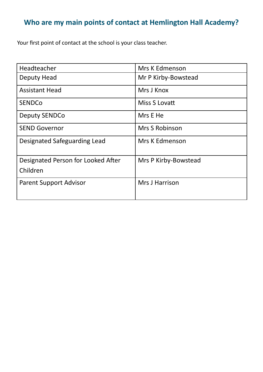# **Who are my main points of contact at Hemlington Hall Academy?**

Your first point of contact at the school is your class teacher.

| Headteacher                        | <b>Mrs K Edmenson</b> |
|------------------------------------|-----------------------|
| Deputy Head                        | Mr P Kirby-Bowstead   |
| <b>Assistant Head</b>              | Mrs J Knox            |
| <b>SENDCo</b>                      | Miss S Lovatt         |
| <b>Deputy SENDCo</b>               | Mrs E He              |
| <b>SEND Governor</b>               | <b>Mrs S Robinson</b> |
| Designated Safeguarding Lead       | <b>Mrs K Edmenson</b> |
| Designated Person for Looked After | Mrs P Kirby-Bowstead  |
| Children                           |                       |
| <b>Parent Support Advisor</b>      | Mrs J Harrison        |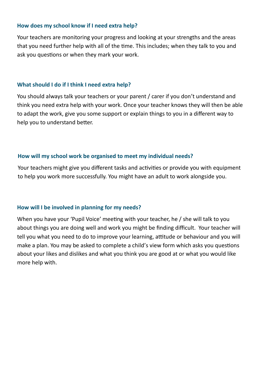#### **How does my school know if I need extra help?**

Your teachers are monitoring your progress and looking at your strengths and the areas that you need further help with all of the time. This includes; when they talk to you and ask you questions or when they mark your work.

#### **What should I do if I think I need extra help?**

You should always talk your teachers or your parent / carer if you don't understand and think you need extra help with your work. Once your teacher knows they will then be able to adapt the work, give you some support or explain things to you in a different way to help you to understand better.

#### **How will my school work be organised to meet my individual needs?**

Your teachers might give you different tasks and activities or provide you with equipment to help you work more successfully. You might have an adult to work alongside you.

#### **How will I be involved in planning for my needs?**

When you have your 'Pupil Voice' meeting with your teacher, he / she will talk to you about things you are doing well and work you might be finding difficult. Your teacher will tell you what you need to do to improve your learning, attitude or behaviour and you will make a plan. You may be asked to complete a child's view form which asks you questions about your likes and dislikes and what you think you are good at or what you would like more help with.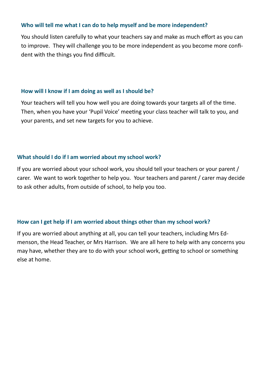#### **Who will tell me what I can do to help myself and be more independent?**

You should listen carefully to what your teachers say and make as much effort as you can to improve. They will challenge you to be more independent as you become more confident with the things you find difficult.

#### **How will I know if I am doing as well as I should be?**

Your teachers will tell you how well you are doing towards your targets all of the time. Then, when you have your 'Pupil Voice' meeting your class teacher will talk to you, and your parents, and set new targets for you to achieve.

#### **What should I do if I am worried about my school work?**

If you are worried about your school work, you should tell your teachers or your parent / carer. We want to work together to help you. Your teachers and parent / carer may decide to ask other adults, from outside of school, to help you too.

#### **How can I get help if I am worried about things other than my school work?**

If you are worried about anything at all, you can tell your teachers, including Mrs Edmenson, the Head Teacher, or Mrs Harrison. We are all here to help with any concerns you may have, whether they are to do with your school work, getting to school or something else at home.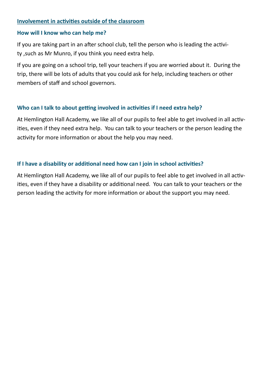### **Involvement in activities outside of the classroom**

#### **How will I know who can help me?**

If you are taking part in an after school club, tell the person who is leading the activity ,such as Mr Munro, if you think you need extra help.

If you are going on a school trip, tell your teachers if you are worried about it. During the trip, there will be lots of adults that you could ask for help, including teachers or other members of staff and school governors.

# **Who can I talk to about getting involved in activities if I need extra help?**

At Hemlington Hall Academy, we like all of our pupils to feel able to get involved in all activities, even if they need extra help. You can talk to your teachers or the person leading the activity for more information or about the help you may need.

# **If I have a disability or additional need how can I join in school activities?**

At Hemlington Hall Academy, we like all of our pupils to feel able to get involved in all activities, even if they have a disability or additional need. You can talk to your teachers or the person leading the activity for more information or about the support you may need.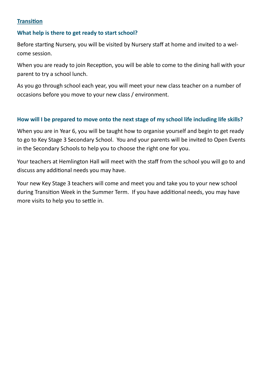# **Transition**

## **What help is there to get ready to start school?**

Before starting Nursery, you will be visited by Nursery staff at home and invited to a welcome session.

When you are ready to join Reception, you will be able to come to the dining hall with your parent to try a school lunch.

As you go through school each year, you will meet your new class teacher on a number of occasions before you move to your new class / environment.

### **How will I be prepared to move onto the next stage of my school life including life skills?**

When you are in Year 6, you will be taught how to organise yourself and begin to get ready to go to Key Stage 3 Secondary School. You and your parents will be invited to Open Events in the Secondary Schools to help you to choose the right one for you.

Your teachers at Hemlington Hall will meet with the staff from the school you will go to and discuss any additional needs you may have.

Your new Key Stage 3 teachers will come and meet you and take you to your new school during Transition Week in the Summer Term. If you have additional needs, you may have more visits to help you to settle in.